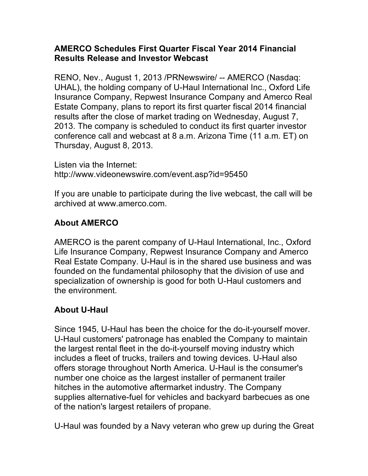## **AMERCO Schedules First Quarter Fiscal Year 2014 Financial Results Release and Investor Webcast**

RENO, Nev., August 1, 2013 /PRNewswire/ -- AMERCO (Nasdaq: UHAL), the holding company of U-Haul International Inc., Oxford Life Insurance Company, Repwest Insurance Company and Amerco Real Estate Company, plans to report its first quarter fiscal 2014 financial results after the close of market trading on Wednesday, August 7, 2013. The company is scheduled to conduct its first quarter investor conference call and webcast at 8 a.m. Arizona Time (11 a.m. ET) on Thursday, August 8, 2013.

Listen via the Internet: http://www.videonewswire.com/event.asp?id=95450

If you are unable to participate during the live webcast, the call will be archived at www.amerco.com.

## **About AMERCO**

AMERCO is the parent company of U-Haul International, Inc., Oxford Life Insurance Company, Repwest Insurance Company and Amerco Real Estate Company. U-Haul is in the shared use business and was founded on the fundamental philosophy that the division of use and specialization of ownership is good for both U-Haul customers and the environment.

## **About U-Haul**

Since 1945, U-Haul has been the choice for the do-it-yourself mover. U-Haul customers' patronage has enabled the Company to maintain the largest rental fleet in the do-it-yourself moving industry which includes a fleet of trucks, trailers and towing devices. U-Haul also offers storage throughout North America. U-Haul is the consumer's number one choice as the largest installer of permanent trailer hitches in the automotive aftermarket industry. The Company supplies alternative-fuel for vehicles and backyard barbecues as one of the nation's largest retailers of propane.

U-Haul was founded by a Navy veteran who grew up during the Great